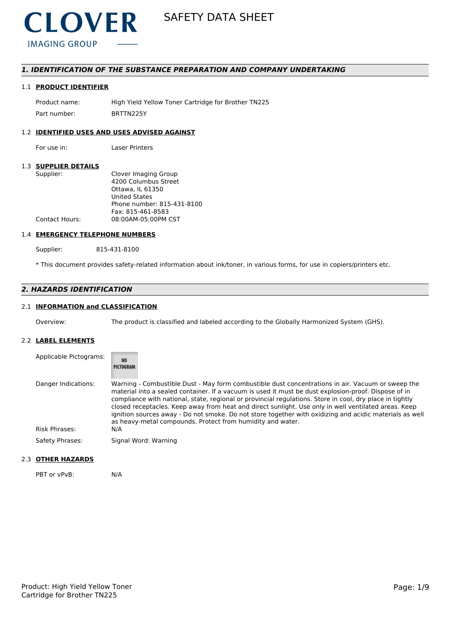

## *1. IDENTIFICATION OF THE SUBSTANCE PREPARATION AND COMPANY UNDERTAKING*

## 1.1 **PRODUCT IDENTIFIER**

Product name: High Yield Yellow Toner Cartridge for Brother TN225 Part number: BRTTN225Y

## 1.2 **IDENTIFIED USES AND USES ADVISED AGAINST**

For use in: Laser Printers

## 1.3 **SUPPLIER DETAILS**

| Supplier:             | Clover Imaging Group       |
|-----------------------|----------------------------|
|                       | 4200 Columbus Street       |
|                       | Ottawa. IL 61350           |
|                       | <b>United States</b>       |
|                       | Phone number: 815-431-8100 |
|                       | Fax: 815-461-8583          |
| <b>Contact Hours:</b> | 08:00AM-05:00PM CST        |
|                       |                            |

## 1.4 **EMERGENCY TELEPHONE NUMBERS**

Supplier: 815-431-8100

\* This document provides safety-related information about ink/toner, in various forms, for use in copiers/printers etc.

## *2. HAZARDS IDENTIFICATION*

## 2.1 **INFORMATION and CLASSIFICATION**

Overview: The product is classified and labeled according to the Globally Harmonized System (GHS).

## 2.2 **LABEL ELEMENTS**

| Applicable Pictograms: | <b>NO</b><br>PICTOGRAM                                                                                                                                                                                                                                                                                                                                                                                                                                                                                                                                                                                 |
|------------------------|--------------------------------------------------------------------------------------------------------------------------------------------------------------------------------------------------------------------------------------------------------------------------------------------------------------------------------------------------------------------------------------------------------------------------------------------------------------------------------------------------------------------------------------------------------------------------------------------------------|
| Danger Indications:    | Warning - Combustible Dust - May form combustible dust concentrations in air. Vacuum or sweep the<br>material into a sealed container. If a vacuum is used it must be dust explosion-proof. Dispose of in<br>compliance with national, state, regional or provincial regulations. Store in cool, dry place in tightly<br>closed receptacles. Keep away from heat and direct sunlight. Use only in well ventilated areas. Keep<br>ignition sources away - Do not smoke. Do not store together with oxidizing and acidic materials as well<br>as heavy-metal compounds. Protect from humidity and water. |
| Risk Phrases:          | N/A                                                                                                                                                                                                                                                                                                                                                                                                                                                                                                                                                                                                    |
| Safety Phrases:        | Signal Word: Warning                                                                                                                                                                                                                                                                                                                                                                                                                                                                                                                                                                                   |

#### 2.3 **OTHER HAZARDS**

PBT or vPvB: N/A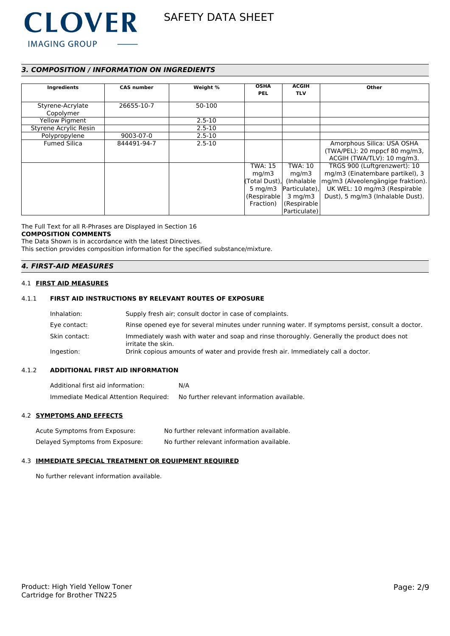

## *3. COMPOSITION / INFORMATION ON INGREDIENTS*

| Ingredients                   | <b>CAS number</b> | Weight %   | <b>OSHA</b><br><b>PEL</b> | <b>ACGIH</b><br><b>TLV</b> | Other                                                       |
|-------------------------------|-------------------|------------|---------------------------|----------------------------|-------------------------------------------------------------|
| Styrene-Acrylate<br>Copolymer | 26655-10-7        | 50-100     |                           |                            |                                                             |
| Yellow Pigment                |                   | $2.5 - 10$ |                           |                            |                                                             |
| Styrene Acrylic Resin         |                   | $2.5 - 10$ |                           |                            |                                                             |
| Polypropylene                 | 9003-07-0         | $2.5 - 10$ |                           |                            |                                                             |
| <b>Fumed Silica</b>           | 844491-94-7       | $2.5 - 10$ |                           |                            | Amorphous Silica: USA OSHA                                  |
|                               |                   |            |                           |                            | (TWA/PEL): 20 mppcf 80 mg/m3,<br>ACGIH (TWA/TLV): 10 mg/m3. |
|                               |                   |            | <b>TWA: 15</b>            | TWA: 10                    | TRGS 900 (Luftgrenzwert): 10                                |
|                               |                   |            | mg/m3                     | mq/m3                      | mg/m3 (Einatembare partikel), 3                             |
|                               |                   |            | (Total Dust).             | (Inhalable                 | mg/m3 (Alveolengängige fraktion).                           |
|                               |                   |            | $5 \text{ mg/m}$          | Particulate),              | UK WEL: 10 mg/m3 (Respirable                                |
|                               |                   |            | (Respirable)              | $3 \text{ mg/m}$           | Dust), 5 mg/m3 (Inhalable Dust).                            |
|                               |                   |            | Fraction)                 | (Respirable                |                                                             |
|                               |                   |            |                           | Particulate)               |                                                             |

The Full Text for all R-Phrases are Displayed in Section 16

## **COMPOSITION COMMENTS**

The Data Shown is in accordance with the latest Directives. This section provides composition information for the specified substance/mixture.

## *4. FIRST-AID MEASURES*

## 4.1 **FIRST AID MEASURES**

## 4.1.1 **FIRST AID INSTRUCTIONS BY RELEVANT ROUTES OF EXPOSURE**

| Inhalation:   | Supply fresh air; consult doctor in case of complaints.                                                         |
|---------------|-----------------------------------------------------------------------------------------------------------------|
| Eye contact:  | Rinse opened eye for several minutes under running water. If symptoms persist, consult a doctor.                |
| Skin contact: | Immediately wash with water and soap and rinse thoroughly. Generally the product does not<br>irritate the skin. |
| Ingestion:    | Drink copious amounts of water and provide fresh air. Immediately call a doctor.                                |

### 4.1.2 **ADDITIONAL FIRST AID INFORMATION**

Additional first aid information: N/A Immediate Medical Attention Required: No further relevant information available.

## 4.2 **SYMPTOMS AND EFFECTS**

| Acute Symptoms from Exposure:   | No further relevant information available. |
|---------------------------------|--------------------------------------------|
| Delayed Symptoms from Exposure: | No further relevant information available. |

### 4.3 **IMMEDIATE SPECIAL TREATMENT OR EQUIPMENT REQUIRED**

No further relevant information available.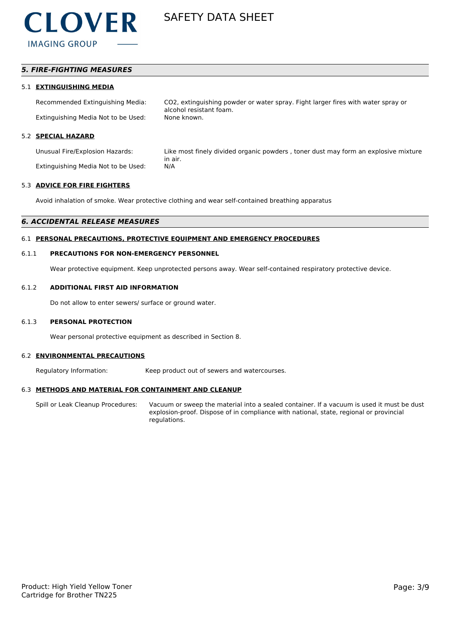

## *5. FIRE-FIGHTING MEASURES*

#### 5.1 **EXTINGUISHING MEDIA**

Recommended Extinguishing Media: CO2, extinguishing powder or water spray. Fight larger fires with water spray or alcohol resistant foam. Extinguishing Media Not to be Used: None known.

### 5.2 **SPECIAL HAZARD**

Extinguishing Media Not to be Used: N/A

Unusual Fire/Explosion Hazards: Like most finely divided organic powders , toner dust may form an explosive mixture in air.

#### 5.3 **ADVICE FOR FIRE FIGHTERS**

Avoid inhalation of smoke. Wear protective clothing and wear self-contained breathing apparatus

## *6. ACCIDENTAL RELEASE MEASURES*

## 6.1 **PERSONAL PRECAUTIONS, PROTECTIVE EQUIPMENT AND EMERGENCY PROCEDURES**

#### 6.1.1 **PRECAUTIONS FOR NON-EMERGENCY PERSONNEL**

Wear protective equipment. Keep unprotected persons away. Wear self-contained respiratory protective device.

#### 6.1.2 **ADDITIONAL FIRST AID INFORMATION**

Do not allow to enter sewers/ surface or ground water.

#### 6.1.3 **PERSONAL PROTECTION**

Wear personal protective equipment as described in Section 8.

#### 6.2 **ENVIRONMENTAL PRECAUTIONS**

Regulatory Information: Keep product out of sewers and watercourses.

### 6.3 **METHODS AND MATERIAL FOR CONTAINMENT AND CLEANUP**

Spill or Leak Cleanup Procedures: Vacuum or sweep the material into a sealed container. If a vacuum is used it must be dust explosion-proof. Dispose of in compliance with national, state, regional or provincial regulations.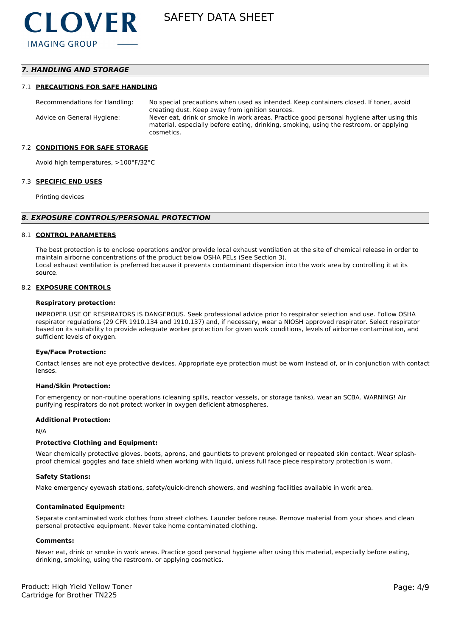## *7. HANDLING AND STORAGE*

#### 7.1 **PRECAUTIONS FOR SAFE HANDLING**

Recommendations for Handling: No special precautions when used as intended. Keep containers closed. If toner, avoid creating dust. Keep away from ignition sources. Advice on General Hygiene: Never eat, drink or smoke in work areas. Practice good personal hygiene after using this material, especially before eating, drinking, smoking, using the restroom, or applying cosmetics.

#### 7.2 **CONDITIONS FOR SAFE STORAGE**

Avoid high temperatures, >100°F/32°C

#### 7.3 **SPECIFIC END USES**

Printing devices

#### *8. EXPOSURE CONTROLS/PERSONAL PROTECTION*

#### 8.1 **CONTROL PARAMETERS**

The best protection is to enclose operations and/or provide local exhaust ventilation at the site of chemical release in order to maintain airborne concentrations of the product below OSHA PELs (See Section 3). Local exhaust ventilation is preferred because it prevents contaminant dispersion into the work area by controlling it at its source.

#### 8.2 **EXPOSURE CONTROLS**

#### **Respiratory protection:**

IMPROPER USE OF RESPIRATORS IS DANGEROUS. Seek professional advice prior to respirator selection and use. Follow OSHA respirator regulations (29 CFR 1910.134 and 1910.137) and, if necessary, wear a NIOSH approved respirator. Select respirator based on its suitability to provide adequate worker protection for given work conditions, levels of airborne contamination, and sufficient levels of oxygen.

#### **Eye/Face Protection:**

Contact lenses are not eye protective devices. Appropriate eye protection must be worn instead of, or in conjunction with contact lenses.

#### **Hand/Skin Protection:**

For emergency or non-routine operations (cleaning spills, reactor vessels, or storage tanks), wear an SCBA. WARNING! Air purifying respirators do not protect worker in oxygen deficient atmospheres.

#### **Additional Protection:**

N/A

#### **Protective Clothing and Equipment:**

Wear chemically protective gloves, boots, aprons, and gauntlets to prevent prolonged or repeated skin contact. Wear splashproof chemical goggles and face shield when working with liquid, unless full face piece respiratory protection is worn.

#### **Safety Stations:**

Make emergency eyewash stations, safety/quick-drench showers, and washing facilities available in work area.

#### **Contaminated Equipment:**

Separate contaminated work clothes from street clothes. Launder before reuse. Remove material from your shoes and clean personal protective equipment. Never take home contaminated clothing.

#### **Comments:**

Never eat, drink or smoke in work areas. Practice good personal hygiene after using this material, especially before eating, drinking, smoking, using the restroom, or applying cosmetics.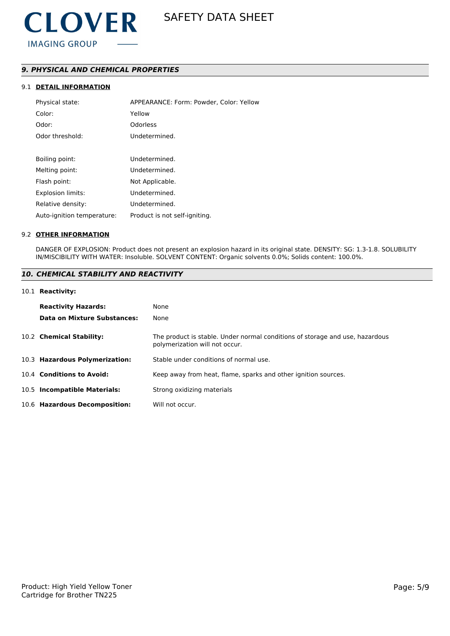

## *9. PHYSICAL AND CHEMICAL PROPERTIES*

## 9.1 **DETAIL INFORMATION**

| Physical state:            | APPEARANCE: Form: Powder, Color: Yellow |
|----------------------------|-----------------------------------------|
| Color:                     | Yellow                                  |
| Odor:                      | Odorless                                |
| Odor threshold:            | Undetermined.                           |
|                            |                                         |
| Boiling point:             | Undetermined.                           |
| Melting point:             | Undetermined.                           |
| Flash point:               | Not Applicable.                         |
| <b>Explosion limits:</b>   | Undetermined.                           |
| Relative density:          | Undetermined.                           |
| Auto-ignition temperature: | Product is not self-igniting.           |

#### 9.2 **OTHER INFORMATION**

DANGER OF EXPLOSION: Product does not present an explosion hazard in its original state. DENSITY: SG: 1.3-1.8. SOLUBILITY IN/MISCIBILITY WITH WATER: Insoluble. SOLVENT CONTENT: Organic solvents 0.0%; Solids content: 100.0%.

## *10. CHEMICAL STABILITY AND REACTIVITY*

#### 10.1 **Reactivity:**

| <b>Reactivity Hazards:</b><br>Data on Mixture Substances: | None<br>None                                                                                                   |
|-----------------------------------------------------------|----------------------------------------------------------------------------------------------------------------|
| 10.2 Chemical Stability:                                  | The product is stable. Under normal conditions of storage and use, hazardous<br>polymerization will not occur. |
| 10.3 Hazardous Polymerization:                            | Stable under conditions of normal use.                                                                         |
| 10.4 Conditions to Avoid:                                 | Keep away from heat, flame, sparks and other ignition sources.                                                 |
| 10.5 Incompatible Materials:                              | Strong oxidizing materials                                                                                     |
| 10.6 Hazardous Decomposition:                             | Will not occur.                                                                                                |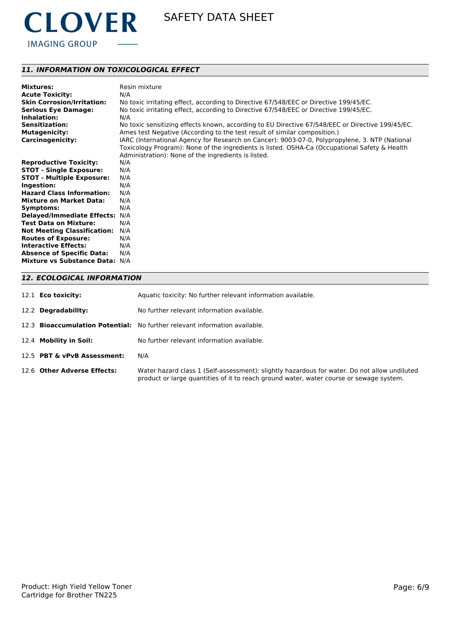

## *11. INFORMATION ON TOXICOLOGICAL EFFECT*

| <b>Mixtures:</b>                   | Resin mixture                                                                                    |
|------------------------------------|--------------------------------------------------------------------------------------------------|
| <b>Acute Toxicity:</b>             | N/A                                                                                              |
| <b>Skin Corrosion/Irritation:</b>  | No toxic irritating effect, according to Directive 67/548/EEC or Directive 199/45/EC.            |
| <b>Serious Eye Damage:</b>         | No toxic irritating effect, according to Directive 67/548/EEC or Directive 199/45/EC.            |
| Inhalation:                        | N/A                                                                                              |
| <b>Sensitization:</b>              | No toxic sensitizing effects known, according to EU Directive 67/548/EEC or Directive 199/45/EC. |
| <b>Mutagenicity:</b>               | Ames test Negative (According to the test result of similar composition.)                        |
| <b>Carcinogenicity:</b>            | IARC (International Agency for Research on Cancer): 9003-07-0, Polypropylene, 3. NTP (National   |
|                                    | Toxicology Program): None of the ingredients is listed. OSHA-Ca (Occupational Safety & Health    |
|                                    | Administration): None of the ingredients is listed.                                              |
| <b>Reproductive Toxicity:</b>      | N/A                                                                                              |
| <b>STOT - Single Exposure:</b>     | N/A                                                                                              |
| <b>STOT - Multiple Exposure:</b>   | N/A                                                                                              |
| Ingestion:                         | N/A                                                                                              |
| <b>Hazard Class Information:</b>   | N/A                                                                                              |
| <b>Mixture on Market Data:</b>     | N/A                                                                                              |
| Symptoms:                          | N/A                                                                                              |
| <b>Delayed/Immediate Effects:</b>  | N/A                                                                                              |
| <b>Test Data on Mixture:</b>       | N/A                                                                                              |
| <b>Not Meeting Classification:</b> | N/A                                                                                              |
| <b>Routes of Exposure:</b>         | N/A                                                                                              |
| <b>Interactive Effects:</b>        | N/A                                                                                              |
| <b>Absence of Specific Data:</b>   | N/A                                                                                              |
| Mixture vs Substance Data: N/A     |                                                                                                  |
|                                    |                                                                                                  |

## *12. ECOLOGICAL INFORMATION*

| 12.1 <b>Eco toxicity:</b>   | Aquatic toxicity: No further relevant information available.                                                                                                                            |
|-----------------------------|-----------------------------------------------------------------------------------------------------------------------------------------------------------------------------------------|
| 12.2 Degradability:         | No further relevant information available.                                                                                                                                              |
|                             | 12.3 <b>Bioaccumulation Potential:</b> No further relevant information available.                                                                                                       |
| 12.4 Mobility in Soil:      | No further relevant information available.                                                                                                                                              |
| 12.5 PBT & vPvB Assessment: | N/A                                                                                                                                                                                     |
| 12.6 Other Adverse Effects: | Water hazard class 1 (Self-assessment): slightly hazardous for water. Do not allow undiluted<br>product or large quantities of it to reach ground water, water course or sewage system. |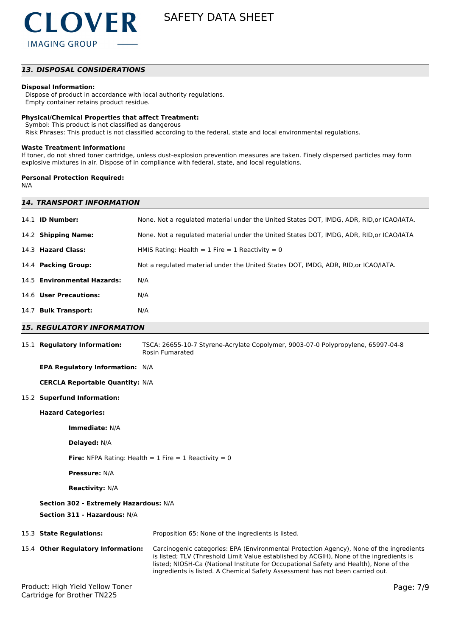

## *13. DISPOSAL CONSIDERATIONS*

#### **Disposal Information:**

 Dispose of product in accordance with local authority regulations. Empty container retains product residue.

#### **Physical/Chemical Properties that affect Treatment:**

Symbol: This product is not classified as dangerous

Risk Phrases: This product is not classified according to the federal, state and local environmental regulations.

#### **Waste Treatment Information:**

If toner, do not shred toner cartridge, unless dust-explosion prevention measures are taken. Finely dispersed particles may form explosive mixtures in air. Dispose of in compliance with federal, state, and local regulations.

### **Personal Protection Required:**

N/A

| <b>14. TRANSPORT INFORMATION</b>       |                                                                                                     |  |
|----------------------------------------|-----------------------------------------------------------------------------------------------------|--|
| 14.1 <b>ID Number:</b>                 | None. Not a regulated material under the United States DOT, IMDG, ADR, RID, or ICAO/IATA.           |  |
| 14.2 Shipping Name:                    | None. Not a regulated material under the United States DOT, IMDG, ADR, RID, or ICAO/IATA            |  |
| 14.3 Hazard Class:                     | HMIS Rating: Health = $1$ Fire = $1$ Reactivity = 0                                                 |  |
| 14.4 Packing Group:                    | Not a regulated material under the United States DOT, IMDG, ADR, RID, or ICAO/IATA.                 |  |
| 14.5 Environmental Hazards:            | N/A                                                                                                 |  |
| 14.6 User Precautions:                 | N/A                                                                                                 |  |
| 14.7 Bulk Transport:                   | N/A                                                                                                 |  |
| <b>15. REGULATORY INFORMATION</b>      |                                                                                                     |  |
| 15.1 Regulatory Information:           | TSCA: 26655-10-7 Styrene-Acrylate Copolymer, 9003-07-0 Polypropylene, 65997-04-8<br>Rosin Fumarated |  |
| <b>EPA Regulatory Information: N/A</b> |                                                                                                     |  |

**CERCLA Reportable Quantity:** N/A

#### 15.2 **Superfund Information:**

#### **Hazard Categories:**

**Immediate:** N/A

**Delayed:** N/A

**Fire:** NFPA Rating: Health  $= 1$  Fire  $= 1$  Reactivity  $= 0$ 

**Pressure:** N/A

**Reactivity:** N/A

#### **Section 302 - Extremely Hazardous:** N/A

#### **Section 311 - Hazardous:** N/A

| 15.3 State Regulations:            | Proposition 65: None of the ingredients is listed.                                                                                                                                                                                                                                                                                                           |
|------------------------------------|--------------------------------------------------------------------------------------------------------------------------------------------------------------------------------------------------------------------------------------------------------------------------------------------------------------------------------------------------------------|
| 15.4 Other Regulatory Information: | Carcinogenic categories: EPA (Environmental Protection Agency), None of the ingredients<br>is listed; TLV (Threshold Limit Value established by ACGIH), None of the ingredients is<br>listed; NIOSH-Ca (National Institute for Occupational Safety and Health), None of the<br>ingredients is listed. A Chemical Safety Assessment has not been carried out. |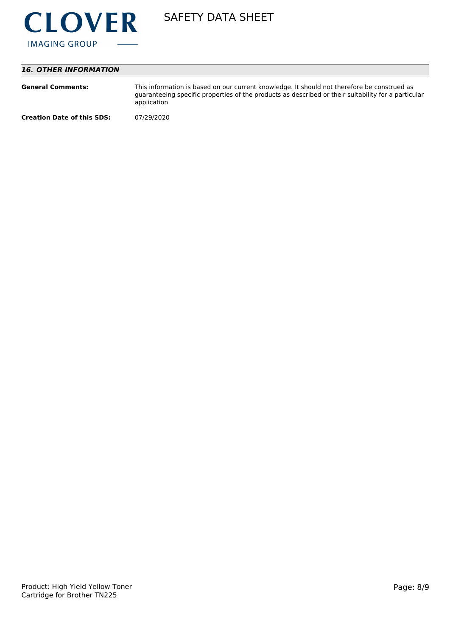

## *16. OTHER INFORMATION*

| <b>General Comments:</b>          | This information is based on our current knowledge. It should not therefore be construed as<br>guaranteeing specific properties of the products as described or their suitability for a particular<br>application |
|-----------------------------------|-------------------------------------------------------------------------------------------------------------------------------------------------------------------------------------------------------------------|
| <b>Creation Date of this SDS:</b> | 07/29/2020                                                                                                                                                                                                        |